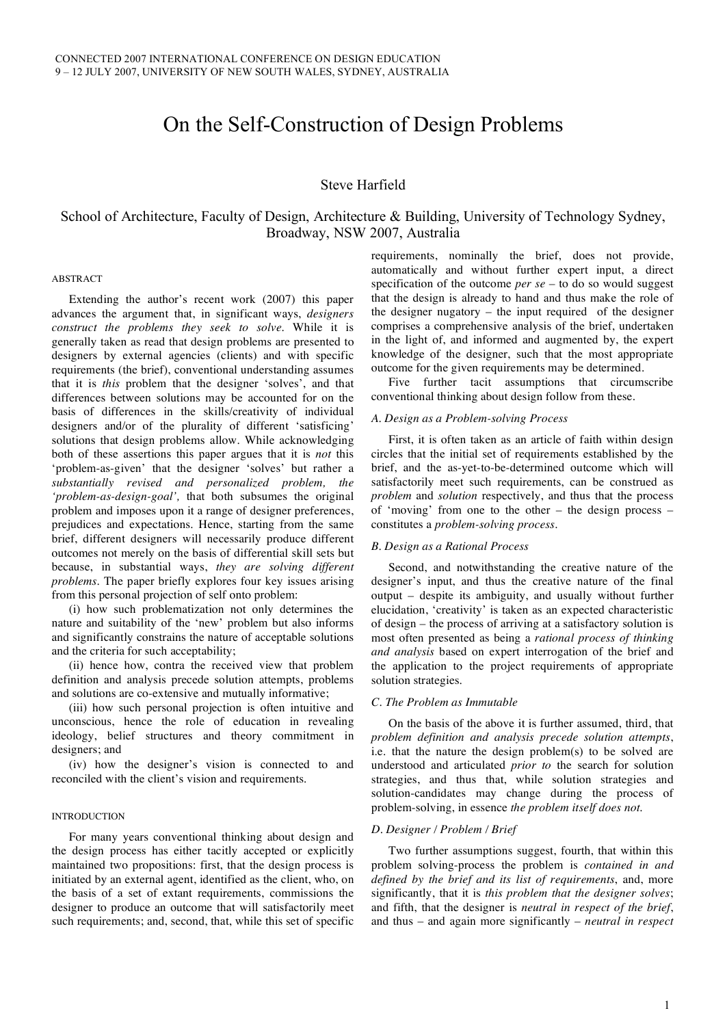# On the Self-Construction of Design Problems

# Steve Harfield

# School of Architecture, Faculty of Design, Architecture & Building, University of Technology Sydney, Broadway, NSW 2007, Australia

#### ABSTRACT

Extending the author's recent work (2007) this paper advances the argument that, in significant ways, *designers construct the problems they seek to solve*. While it is generally taken as read that design problems are presented to designers by external agencies (clients) and with specific requirements (the brief), conventional understanding assumes that it is *this* problem that the designer 'solves', and that differences between solutions may be accounted for on the basis of differences in the skills/creativity of individual designers and/or of the plurality of different 'satisficing' solutions that design problems allow. While acknowledging both of these assertions this paper argues that it is *not* this 'problem-as-given' that the designer 'solves' but rather a *substantially revised and personalized problem, the 'problem-as-design-goal',* that both subsumes the original problem and imposes upon it a range of designer preferences, prejudices and expectations. Hence, starting from the same brief, different designers will necessarily produce different outcomes not merely on the basis of differential skill sets but because, in substantial ways, *they are solving different problems*. The paper briefly explores four key issues arising from this personal projection of self onto problem:

(i) how such problematization not only determines the nature and suitability of the 'new' problem but also informs and significantly constrains the nature of acceptable solutions and the criteria for such acceptability;

(ii) hence how, contra the received view that problem definition and analysis precede solution attempts, problems and solutions are co-extensive and mutually informative;

(iii) how such personal projection is often intuitive and unconscious, hence the role of education in revealing ideology, belief structures and theory commitment in designers; and

(iv) how the designer's vision is connected to and reconciled with the client's vision and requirements.

#### INTRODUCTION

For many years conventional thinking about design and the design process has either tacitly accepted or explicitly maintained two propositions: first, that the design process is initiated by an external agent, identified as the client, who, on the basis of a set of extant requirements, commissions the designer to produce an outcome that will satisfactorily meet such requirements; and, second, that, while this set of specific

requirements, nominally the brief, does not provide, automatically and without further expert input, a direct specification of the outcome *per se* – to do so would suggest that the design is already to hand and thus make the role of the designer nugatory – the input required of the designer comprises a comprehensive analysis of the brief, undertaken in the light of, and informed and augmented by, the expert knowledge of the designer, such that the most appropriate outcome for the given requirements may be determined.

Five further tacit assumptions that circumscribe conventional thinking about design follow from these.

#### *A. Design as a Problem-solving Process*

First, it is often taken as an article of faith within design circles that the initial set of requirements established by the brief, and the as-yet-to-be-determined outcome which will satisfactorily meet such requirements, can be construed as *problem* and *solution* respectively, and thus that the process of 'moving' from one to the other – the design process – constitutes a *problem-solving process.*

#### *B. Design as a Rational Process*

Second, and notwithstanding the creative nature of the designer's input, and thus the creative nature of the final output – despite its ambiguity, and usually without further elucidation, 'creativity' is taken as an expected characteristic of design – the process of arriving at a satisfactory solution is most often presented as being a *rational process of thinking and analysis* based on expert interrogation of the brief and the application to the project requirements of appropriate solution strategies.

## *C. The Problem as Immutable*

On the basis of the above it is further assumed, third, that *problem definition and analysis precede solution attempts*, i.e. that the nature the design problem(s) to be solved are understood and articulated *prior to* the search for solution strategies, and thus that, while solution strategies and solution-candidates may change during the process of problem-solving, in essence *the problem itself does not*.

#### *D. Designer / Problem / Brief*

Two further assumptions suggest, fourth, that within this problem solving-process the problem is *contained in and defined by the brief and its list of requirements*, and, more significantly, that it is *this problem that the designer solves*; and fifth, that the designer is *neutral in respect of the brief*, and thus – and again more significantly – *neutral in respect*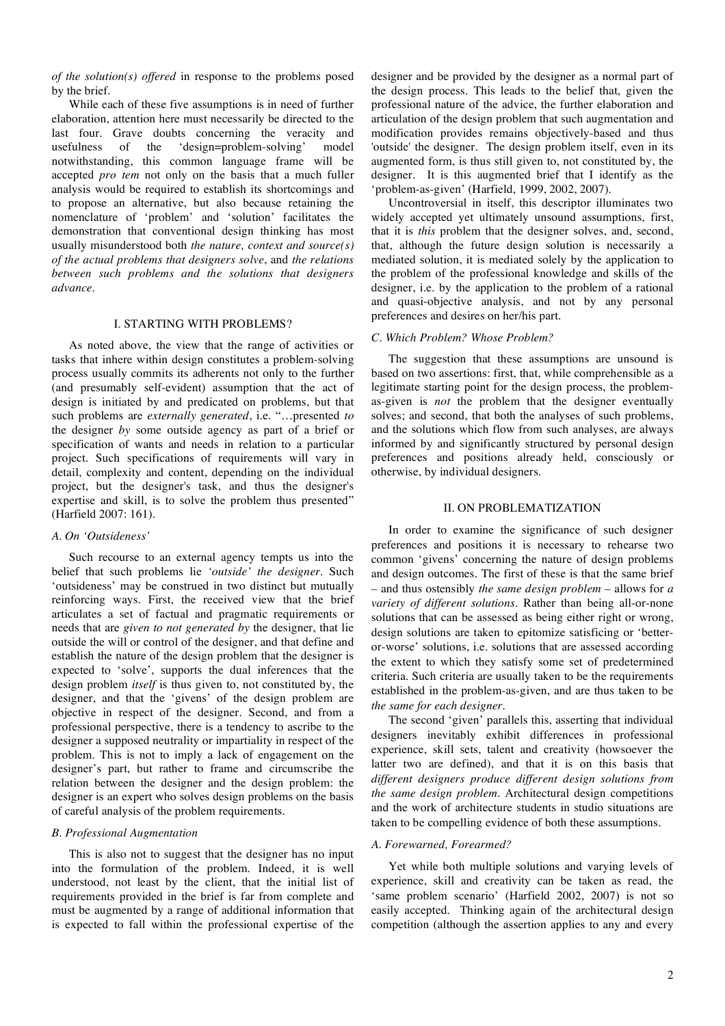*of the solution(s) offered* in response to the problems posed by the brief.

While each of these five assumptions is in need of further elaboration, attention here must necessarily be directed to the last four. Grave doubts concerning the veracity and usefulness of the 'design=problem-solving' model notwithstanding, this common language frame will be accepted *pro tem* not only on the basis that a much fuller analysis would be required to establish its shortcomings and to propose an alternative, but also because retaining the nomenclature of 'problem' and 'solution' facilitates the demonstration that conventional design thinking has most usually misunderstood both *the nature, context and source(s) of the actual problems that designers solve*, and *the relations between such problems and the solutions that designers advance*.

# I. STARTING WITH PROBLEMS?

As noted above, the view that the range of activities or tasks that inhere within design constitutes a problem-solving process usually commits its adherents not only to the further (and presumably self-evident) assumption that the act of design is initiated by and predicated on problems, but that such problems are *externally generated*, i.e. "…presented *to* the designer *by* some outside agency as part of a brief or specification of wants and needs in relation to a particular project. Such specifications of requirements will vary in detail, complexity and content, depending on the individual project, but the designer's task, and thus the designer's expertise and skill, is to solve the problem thus presented" (Harfield 2007: 161).

#### *A. On 'Outsideness'*

Such recourse to an external agency tempts us into the belief that such problems lie *'outside' the designer*. Such 'outsideness' may be construed in two distinct but mutually reinforcing ways. First, the received view that the brief articulates a set of factual and pragmatic requirements or needs that are *given to not generated by* the designer, that lie outside the will or control of the designer, and that define and establish the nature of the design problem that the designer is expected to 'solve', supports the dual inferences that the design problem *itself* is thus given to, not constituted by, the designer, and that the 'givens' of the design problem are objective in respect of the designer. Second, and from a professional perspective, there is a tendency to ascribe to the designer a supposed neutrality or impartiality in respect of the problem. This is not to imply a lack of engagement on the designer's part, but rather to frame and circumscribe the relation between the designer and the design problem: the designer is an expert who solves design problems on the basis of careful analysis of the problem requirements.

## *B. Professional Augmentation*

This is also not to suggest that the designer has no input into the formulation of the problem. Indeed, it is well understood, not least by the client, that the initial list of requirements provided in the brief is far from complete and must be augmented by a range of additional information that is expected to fall within the professional expertise of the

designer and be provided by the designer as a normal part of the design process. This leads to the belief that, given the professional nature of the advice, the further elaboration and articulation of the design problem that such augmentation and modification provides remains objectively-based and thus 'outside' the designer. The design problem itself, even in its augmented form, is thus still given to, not constituted by, the designer. It is this augmented brief that I identify as the 'problem-as-given' (Harfield, 1999, 2002, 2007).

Uncontroversial in itself, this descriptor illuminates two widely accepted yet ultimately unsound assumptions, first, that it is *this* problem that the designer solves, and, second, that, although the future design solution is necessarily a mediated solution, it is mediated solely by the application to the problem of the professional knowledge and skills of the designer, i.e. by the application to the problem of a rational and quasi-objective analysis, and not by any personal preferences and desires on her/his part.

#### *C. Which Problem? Whose Problem?*

The suggestion that these assumptions are unsound is based on two assertions: first, that, while comprehensible as a legitimate starting point for the design process, the problemas-given is *not* the problem that the designer eventually solves; and second, that both the analyses of such problems, and the solutions which flow from such analyses, are always informed by and significantly structured by personal design preferences and positions already held, consciously or otherwise, by individual designers.

# II. ON PROBLEMATIZATION

In order to examine the significance of such designer preferences and positions it is necessary to rehearse two common 'givens' concerning the nature of design problems and design outcomes. The first of these is that the same brief – and thus ostensibly *the same design problem* – allows for *a variety of different solutions*. Rather than being all-or-none solutions that can be assessed as being either right or wrong, design solutions are taken to epitomize satisficing or 'betteror-worse' solutions, i.e. solutions that are assessed according the extent to which they satisfy some set of predetermined criteria. Such criteria are usually taken to be the requirements established in the problem-as-given, and are thus taken to be *the same for each designer*.

The second 'given' parallels this, asserting that individual designers inevitably exhibit differences in professional experience, skill sets, talent and creativity (howsoever the latter two are defined), and that it is on this basis that *different designers produce different design solutions from the same design problem*. Architectural design competitions and the work of architecture students in studio situations are taken to be compelling evidence of both these assumptions.

# *A. Forewarned, Forearmed?*

Yet while both multiple solutions and varying levels of experience, skill and creativity can be taken as read, the 'same problem scenario' (Harfield 2002, 2007) is not so easily accepted. Thinking again of the architectural design competition (although the assertion applies to any and every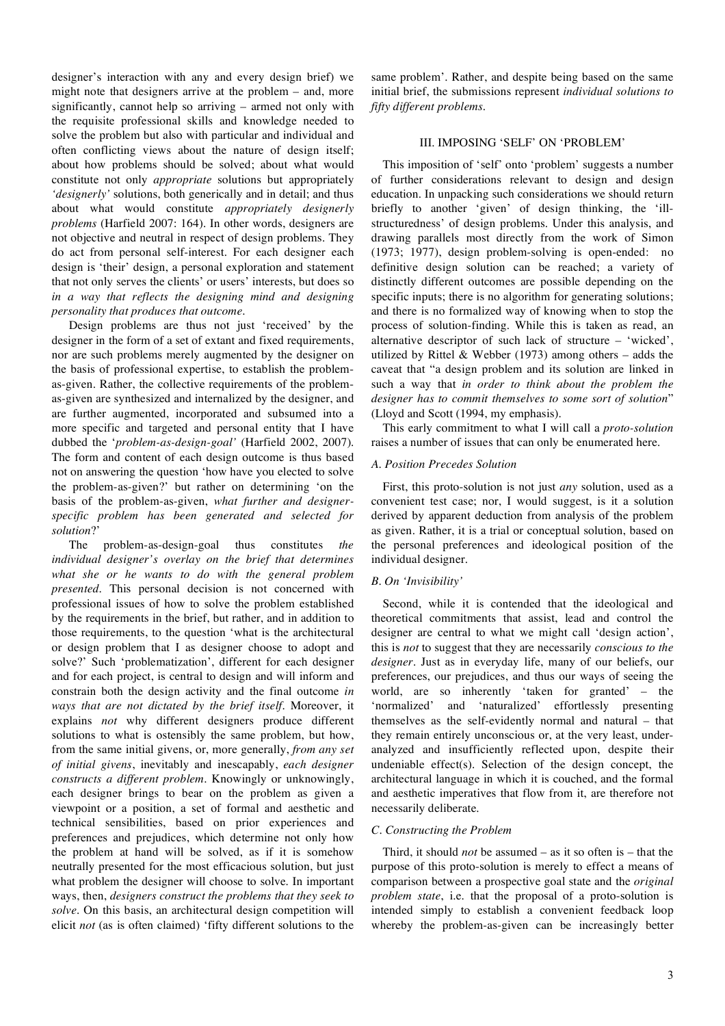designer's interaction with any and every design brief) we might note that designers arrive at the problem – and, more significantly, cannot help so arriving – armed not only with the requisite professional skills and knowledge needed to solve the problem but also with particular and individual and often conflicting views about the nature of design itself; about how problems should be solved; about what would constitute not only *appropriate* solutions but appropriately *'designerly'* solutions, both generically and in detail; and thus about what would constitute *appropriately designerly problems* (Harfield 2007: 164). In other words, designers are not objective and neutral in respect of design problems. They do act from personal self-interest. For each designer each design is 'their' design, a personal exploration and statement that not only serves the clients' or users' interests, but does so *in a way that reflects the designing mind and designing personality that produces that outcome*.

Design problems are thus not just 'received' by the designer in the form of a set of extant and fixed requirements, nor are such problems merely augmented by the designer on the basis of professional expertise, to establish the problemas-given. Rather, the collective requirements of the problemas-given are synthesized and internalized by the designer, and are further augmented, incorporated and subsumed into a more specific and targeted and personal entity that I have dubbed the '*problem-as-design-goal'* (Harfield 2002, 2007). The form and content of each design outcome is thus based not on answering the question 'how have you elected to solve the problem-as-given?' but rather on determining 'on the basis of the problem-as-given, *what further and designerspecific problem has been generated and selected for solution*?'

The problem-as-design-goal thus constitutes *the individual designer's overlay on the brief that determines what she or he wants to do with the general problem presented*. This personal decision is not concerned with professional issues of how to solve the problem established by the requirements in the brief, but rather, and in addition to those requirements, to the question 'what is the architectural or design problem that I as designer choose to adopt and solve?' Such 'problematization', different for each designer and for each project, is central to design and will inform and constrain both the design activity and the final outcome *in ways that are not dictated by the brief itself*. Moreover, it explains *not* why different designers produce different solutions to what is ostensibly the same problem, but how, from the same initial givens, or, more generally, *from any set of initial givens*, inevitably and inescapably, *each designer constructs a different problem*. Knowingly or unknowingly, each designer brings to bear on the problem as given a viewpoint or a position, a set of formal and aesthetic and technical sensibilities, based on prior experiences and preferences and prejudices, which determine not only how the problem at hand will be solved, as if it is somehow neutrally presented for the most efficacious solution, but just what problem the designer will choose to solve. In important ways, then, *designers construct the problems that they seek to solve*. On this basis, an architectural design competition will elicit *not* (as is often claimed) 'fifty different solutions to the

same problem'. Rather, and despite being based on the same initial brief, the submissions represent *individual solutions to fifty different problems*.

# III. IMPOSING 'SELF' ON 'PROBLEM'

This imposition of 'self' onto 'problem' suggests a number of further considerations relevant to design and design education. In unpacking such considerations we should return briefly to another 'given' of design thinking, the 'illstructuredness' of design problems. Under this analysis, and drawing parallels most directly from the work of Simon (1973; 1977), design problem-solving is open-ended: no definitive design solution can be reached; a variety of distinctly different outcomes are possible depending on the specific inputs; there is no algorithm for generating solutions; and there is no formalized way of knowing when to stop the process of solution-finding. While this is taken as read, an alternative descriptor of such lack of structure – 'wicked', utilized by Rittel & Webber (1973) among others – adds the caveat that "a design problem and its solution are linked in such a way that *in order to think about the problem the designer has to commit themselves to some sort of solution*" (Lloyd and Scott (1994, my emphasis).

This early commitment to what I will call a *proto-solution* raises a number of issues that can only be enumerated here.

# *A. Position Precedes Solution*

First, this proto-solution is not just *any* solution, used as a convenient test case; nor, I would suggest, is it a solution derived by apparent deduction from analysis of the problem as given. Rather, it is a trial or conceptual solution, based on the personal preferences and ideological position of the individual designer.

# *B. On 'Invisibility'*

Second, while it is contended that the ideological and theoretical commitments that assist, lead and control the designer are central to what we might call 'design action', this is *not* to suggest that they are necessarily *conscious to the designer*. Just as in everyday life, many of our beliefs, our preferences, our prejudices, and thus our ways of seeing the world, are so inherently 'taken for granted' – the 'normalized' and 'naturalized' effortlessly presenting themselves as the self-evidently normal and natural – that they remain entirely unconscious or, at the very least, underanalyzed and insufficiently reflected upon, despite their undeniable effect(s). Selection of the design concept, the architectural language in which it is couched, and the formal and aesthetic imperatives that flow from it, are therefore not necessarily deliberate.

## *C. Constructing the Problem*

Third, it should *not* be assumed – as it so often is – that the purpose of this proto-solution is merely to effect a means of comparison between a prospective goal state and the *original problem state*, i.e. that the proposal of a proto-solution is intended simply to establish a convenient feedback loop whereby the problem-as-given can be increasingly better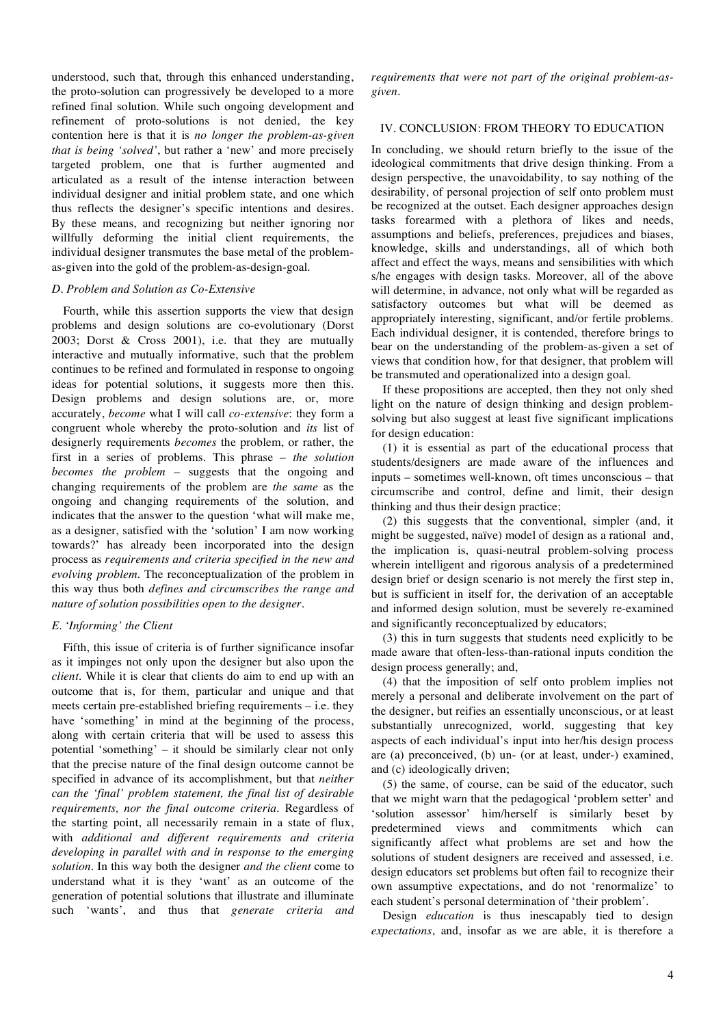understood, such that, through this enhanced understanding, the proto-solution can progressively be developed to a more refined final solution. While such ongoing development and refinement of proto-solutions is not denied, the key contention here is that it is *no longer the problem-as-given that is being 'solved'*, but rather a 'new' and more precisely targeted problem, one that is further augmented and articulated as a result of the intense interaction between individual designer and initial problem state, and one which thus reflects the designer's specific intentions and desires. By these means, and recognizing but neither ignoring nor willfully deforming the initial client requirements, the individual designer transmutes the base metal of the problemas-given into the gold of the problem-as-design-goal.

## *D. Problem and Solution as Co-Extensive*

Fourth, while this assertion supports the view that design problems and design solutions are co-evolutionary (Dorst 2003; Dorst & Cross 2001), i.e. that they are mutually interactive and mutually informative, such that the problem continues to be refined and formulated in response to ongoing ideas for potential solutions, it suggests more then this. Design problems and design solutions are, or, more accurately, *become* what I will call *co-extensive*: they form a congruent whole whereby the proto-solution and *its* list of designerly requirements *becomes* the problem, or rather, the first in a series of problems. This phrase – *the solution becomes the problem* – suggests that the ongoing and changing requirements of the problem are *the same* as the ongoing and changing requirements of the solution, and indicates that the answer to the question 'what will make me, as a designer, satisfied with the 'solution' I am now working towards?' has already been incorporated into the design process as *requirements and criteria specified in the new and evolving problem*. The reconceptualization of the problem in this way thus both *defines and circumscribes the range and nature of solution possibilities open to the designer*.

# *E. 'Informing' the Client*

Fifth, this issue of criteria is of further significance insofar as it impinges not only upon the designer but also upon the *client*. While it is clear that clients do aim to end up with an outcome that is, for them, particular and unique and that meets certain pre-established briefing requirements – i.e. they have 'something' in mind at the beginning of the process, along with certain criteria that will be used to assess this potential 'something' – it should be similarly clear not only that the precise nature of the final design outcome cannot be specified in advance of its accomplishment, but that *neither can the 'final' problem statement, the final list of desirable requirements, nor the final outcome criteria*. Regardless of the starting point, all necessarily remain in a state of flux, with *additional and different requirements and criteria developing in parallel with and in response to the emerging solution*. In this way both the designer *and the client* come to understand what it is they 'want' as an outcome of the generation of potential solutions that illustrate and illuminate such 'wants', and thus that *generate criteria and*

*requirements that were not part of the original problem-asgiven*.

# IV. CONCLUSION: FROM THEORY TO EDUCATION

In concluding, we should return briefly to the issue of the ideological commitments that drive design thinking. From a design perspective, the unavoidability, to say nothing of the desirability, of personal projection of self onto problem must be recognized at the outset. Each designer approaches design tasks forearmed with a plethora of likes and needs, assumptions and beliefs, preferences, prejudices and biases, knowledge, skills and understandings, all of which both affect and effect the ways, means and sensibilities with which s/he engages with design tasks. Moreover, all of the above will determine, in advance, not only what will be regarded as satisfactory outcomes but what will be deemed as appropriately interesting, significant, and/or fertile problems. Each individual designer, it is contended, therefore brings to bear on the understanding of the problem-as-given a set of views that condition how, for that designer, that problem will be transmuted and operationalized into a design goal.

If these propositions are accepted, then they not only shed light on the nature of design thinking and design problemsolving but also suggest at least five significant implications for design education:

(1) it is essential as part of the educational process that students/designers are made aware of the influences and inputs – sometimes well-known, oft times unconscious – that circumscribe and control, define and limit, their design thinking and thus their design practice;

(2) this suggests that the conventional, simpler (and, it might be suggested, naïve) model of design as a rational and, the implication is, quasi-neutral problem-solving process wherein intelligent and rigorous analysis of a predetermined design brief or design scenario is not merely the first step in, but is sufficient in itself for, the derivation of an acceptable and informed design solution, must be severely re-examined and significantly reconceptualized by educators;

(3) this in turn suggests that students need explicitly to be made aware that often-less-than-rational inputs condition the design process generally; and,

(4) that the imposition of self onto problem implies not merely a personal and deliberate involvement on the part of the designer, but reifies an essentially unconscious, or at least substantially unrecognized, world, suggesting that key aspects of each individual's input into her/his design process are (a) preconceived, (b) un- (or at least, under-) examined, and (c) ideologically driven;

(5) the same, of course, can be said of the educator, such that we might warn that the pedagogical 'problem setter' and 'solution assessor' him/herself is similarly beset by predetermined views and commitments which can significantly affect what problems are set and how the solutions of student designers are received and assessed, i.e. design educators set problems but often fail to recognize their own assumptive expectations, and do not 'renormalize' to each student's personal determination of 'their problem'.

Design *education* is thus inescapably tied to design *expectations*, and, insofar as we are able, it is therefore a